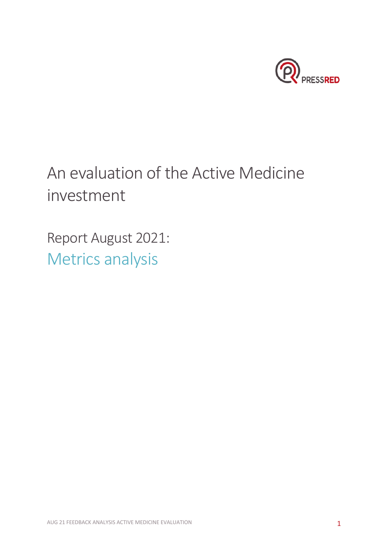

# An evaluation of the Active Medicine investment

Report August 2021: Metrics analysis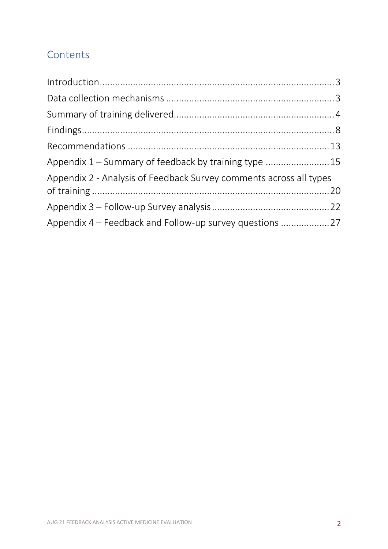## **Contents**

| Appendix 1 – Summary of feedback by training type  15              |  |
|--------------------------------------------------------------------|--|
| Appendix 2 - Analysis of Feedback Survey comments across all types |  |
|                                                                    |  |
| Appendix 4 – Feedback and Follow-up survey questions 27            |  |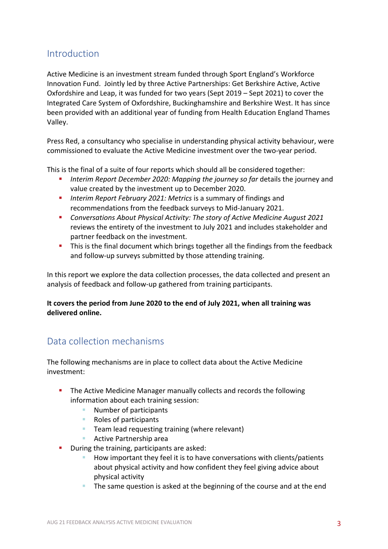### Introduction

Active Medicine is an investment stream funded through Sport England's Workforce Innovation Fund. Jointly led by three Active Partnerships: Get Berkshire Active, Active Oxfordshire and Leap, it was funded for two years (Sept 2019 – Sept 2021) to cover the Integrated Care System of Oxfordshire, Buckinghamshire and Berkshire West. It has since been provided with an additional year of funding from Health Education England Thames Valley.

Press Red, a consultancy who specialise in understanding physical activity behaviour, were commissioned to evaluate the Active Medicine investment over the two-year period.

This is the final of a suite of four reports which should all be considered together:

- ! *Interim Report December 2020: Mapping the journey so far* details the journey and value created by the investment up to December 2020.
- **I** Interim Report February 2021: Metrics is a summary of findings and recommendations from the feedback surveys to Mid-January 2021.
- ! *Conversations About Physical Activity: The story of Active Medicine August 2021* reviews the entirety of the investment to July 2021 and includes stakeholder and partner feedback on the investment.
- ! This is the final document which brings together all the findings from the feedback and follow-up surveys submitted by those attending training.

In this report we explore the data collection processes, the data collected and present an analysis of feedback and follow-up gathered from training participants.

#### **It covers the period from June 2020 to the end of July 2021, when all training was delivered online.**

## Data collection mechanisms

The following mechanisms are in place to collect data about the Active Medicine investment:

- **.** The Active Medicine Manager manually collects and records the following information about each training session:
	- Number of participants
	- Roles of participants
	- **E** Team lead requesting training (where relevant)
	- **E** Active Partnership area
- **.** During the training, participants are asked:
	- ! How important they feel it is to have conversations with clients/patients about physical activity and how confident they feel giving advice about physical activity
	- The same question is asked at the beginning of the course and at the end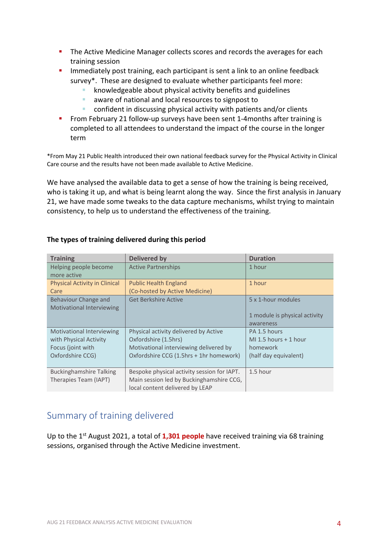- **.** The Active Medicine Manager collects scores and records the averages for each training session
- **I** Immediately post training, each participant is sent a link to an online feedback survey\*. These are designed to evaluate whether participants feel more:
	- knowledgeable about physical activity benefits and guidelines
	- ! aware of national and local resources to signpost to
	- ! confident in discussing physical activity with patients and/or clients
- **EXECTE 1.5 From February 21 follow-up surveys have been sent 1-4months after training is** completed to all attendees to understand the impact of the course in the longer term

\*From May 21 Public Health introduced their own national feedback survey for the Physical Activity in Clinical Care course and the results have not been made available to Active Medicine.

We have analysed the available data to get a sense of how the training is being received, who is taking it up, and what is being learnt along the way. Since the first analysis in January 21, we have made some tweaks to the data capture mechanisms, whilst trying to maintain consistency, to help us to understand the effectiveness of the training.

| <b>Training</b>                      | <b>Delivered by</b>                         | <b>Duration</b>               |
|--------------------------------------|---------------------------------------------|-------------------------------|
| Helping people become                | <b>Active Partnerships</b>                  | 1 hour                        |
| more active                          |                                             |                               |
| <b>Physical Activity in Clinical</b> | <b>Public Health England</b>                | 1 hour                        |
| Care                                 | (Co-hosted by Active Medicine)              |                               |
| Behaviour Change and                 | <b>Get Berkshire Active</b>                 | 5 x 1-hour modules            |
| <b>Motivational Interviewing</b>     |                                             |                               |
|                                      |                                             | 1 module is physical activity |
|                                      |                                             | awareness                     |
| <b>Motivational Interviewing</b>     | Physical activity delivered by Active       | PA 1.5 hours                  |
| with Physical Activity               | Oxfordshire (1.5hrs)                        | MI 1.5 hours $+$ 1 hour       |
| Focus (joint with                    | Motivational interviewing delivered by      | homework                      |
| Oxfordshire CCG)                     | Oxfordshire CCG (1.5hrs + 1hr homework)     | (half day equivalent)         |
|                                      |                                             |                               |
| <b>Buckinghamshire Talking</b>       | Bespoke physical activity session for IAPT. | 1.5 hour                      |
| Therapies Team (IAPT)                | Main session led by Buckinghamshire CCG,    |                               |
|                                      | local content delivered by LEAP             |                               |

#### **The types of training delivered during this period**

## Summary of training delivered

Up to the 1st August 2021, a total of **1,301 people** have received training via 68 training sessions, organised through the Active Medicine investment.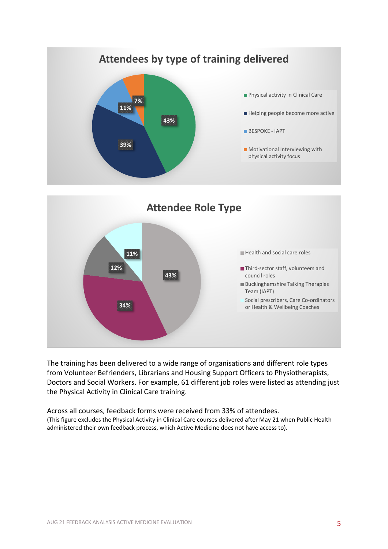



The training has been delivered to a wide range of organisations and different role types from Volunteer Befrienders, Librarians and Housing Support Officers to Physiotherapists, Doctors and Social Workers. For example, 61 different job roles were listed as attending just the Physical Activity in Clinical Care training.

Across all courses, feedback forms were received from 33% of attendees. (This figure excludes the Physical Activity in Clinical Care courses delivered after May 21 when Public Health administered their own feedback process, which Active Medicine does not have access to).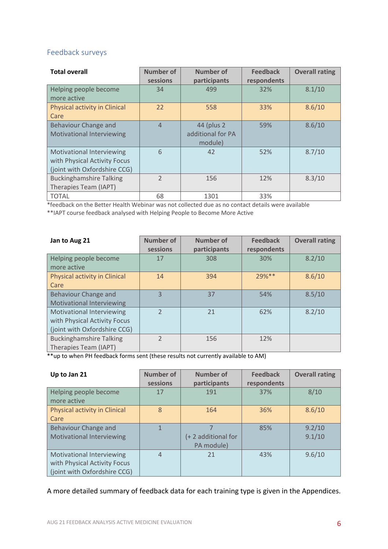#### Feedback surveys

| <b>Total overall</b>             | <b>Number of</b> | Number of         | <b>Feedback</b> | <b>Overall rating</b> |
|----------------------------------|------------------|-------------------|-----------------|-----------------------|
|                                  | sessions         | participants      | respondents     |                       |
| Helping people become            | 34               | 499               | 32%             | 8.1/10                |
| more active                      |                  |                   |                 |                       |
| Physical activity in Clinical    | 22               | 558               | 33%             | 8.6/10                |
| Care                             |                  |                   |                 |                       |
| Behaviour Change and             | $\overline{4}$   | 44 (plus 2)       | 59%             | 8.6/10                |
| <b>Motivational Interviewing</b> |                  | additional for PA |                 |                       |
|                                  |                  | module)           |                 |                       |
| Motivational Interviewing        | 6                | 42                | 52%             | 8.7/10                |
| with Physical Activity Focus     |                  |                   |                 |                       |
| (joint with Oxfordshire CCG)     |                  |                   |                 |                       |
| <b>Buckinghamshire Talking</b>   | $\mathcal{P}$    | 156               | 12%             | 8.3/10                |
| Therapies Team (IAPT)            |                  |                   |                 |                       |
| <b>TOTAL</b>                     | 68               | 1301              | 33%             |                       |

\*feedback on the Better Health Webinar was not collected due as no contact details were available

\*\*IAPT course feedback analysed with Helping People to Become More Active

| Jan to Aug 21                                                                                    | <b>Number of</b><br>sessions | <b>Number of</b><br>participants | <b>Feedback</b><br>respondents | <b>Overall rating</b> |
|--------------------------------------------------------------------------------------------------|------------------------------|----------------------------------|--------------------------------|-----------------------|
| Helping people become<br>more active                                                             | 17                           | 308                              | 30%                            | 8.2/10                |
| Physical activity in Clinical<br>Care                                                            | 14                           | 394                              | $29%$ **                       | 8.6/10                |
| Behaviour Change and<br><b>Motivational Interviewing</b>                                         | $\overline{3}$               | 37                               | 54%                            | 8.5/10                |
| <b>Motivational Interviewing</b><br>with Physical Activity Focus<br>(joint with Oxfordshire CCG) | $\mathcal{P}$                | 21                               | 62%                            | 8.2/10                |
| <b>Buckinghamshire Talking</b><br>Therapies Team (IAPT)                                          | $\mathfrak{D}$               | 156                              | 12%                            |                       |

\*\*up to when PH feedback forms sent (these results not currently available to AM)

| Up to Jan 21                                                                                     | <b>Number of</b><br>sessions | <b>Number of</b><br>participants | <b>Feedback</b><br>respondents | <b>Overall rating</b> |
|--------------------------------------------------------------------------------------------------|------------------------------|----------------------------------|--------------------------------|-----------------------|
| Helping people become<br>more active                                                             | 17                           | 191                              | 37%                            | 8/10                  |
| Physical activity in Clinical<br>Care                                                            | 8                            | 164                              | 36%                            | 8.6/10                |
| Behaviour Change and<br><b>Motivational Interviewing</b>                                         | $\mathbf{1}$                 | (+2 additional for<br>PA module) | 85%                            | 9.2/10<br>9.1/10      |
| <b>Motivational Interviewing</b><br>with Physical Activity Focus<br>(joint with Oxfordshire CCG) | $\overline{4}$               | 21                               | 43%                            | 9.6/10                |

A more detailed summary of feedback data for each training type is given in the Appendices.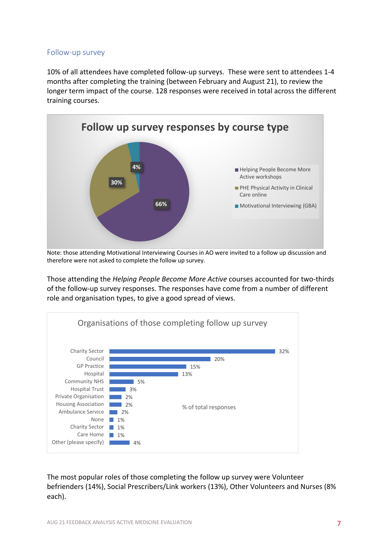#### Follow-up survey

10% of all attendees have completed follow-up surveys. These were sent to attendees 1-4 months after completing the training (between February and August 21), to review the longer term impact of the course. 128 responses were received in total across the different training courses.



Note: those attending Motivational Interviewing Courses in AO were invited to a follow up discussion and therefore were not asked to complete the follow up survey.

Those attending the *Helping People Become More Active* courses accounted for two-thirds of the follow-up survey responses. The responses have come from a number of different role and organisation types, to give a good spread of views.



The most popular roles of those completing the follow up survey were Volunteer befrienders (14%), Social Prescribers/Link workers (13%), Other Volunteers and Nurses (8% each).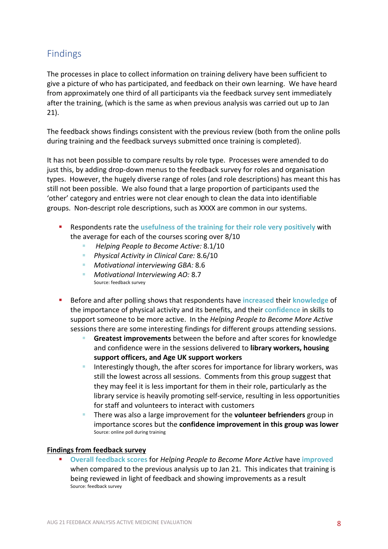## Findings

The processes in place to collect information on training delivery have been sufficient to give a picture of who has participated, and feedback on their own learning. We have heard from approximately one third of all participants via the feedback survey sent immediately after the training, (which is the same as when previous analysis was carried out up to Jan 21).

The feedback shows findings consistent with the previous review (both from the online polls during training and the feedback surveys submitted once training is completed).

It has not been possible to compare results by role type. Processes were amended to do just this, by adding drop-down menus to the feedback survey for roles and organisation types. However, the hugely diverse range of roles (and role descriptions) has meant this has still not been possible. We also found that a large proportion of participants used the 'other' category and entries were not clear enough to clean the data into identifiable groups. Non-descript role descriptions, such as XXXX are common in our systems.

- ! Respondents rate the **usefulness of the training for their role very positively** with the average for each of the courses scoring over 8/10
	- ! *Helping People to Become Active:* 8.1/10
	- ! *Physical Activity in Clinical Care:* 8.6/10
	- ! *Motivational interviewing GBA:* 8.6
	- ! *Motivational Interviewing AO:* 8.7 Source: feedback survey
- ! Before and after polling shows that respondents have **increased** their **knowledge** of the importance of physical activity and its benefits, and their **confidence** in skills to support someone to be more active. In the *Helping People to Become More Active* sessions there are some interesting findings for different groups attending sessions.
	- ! **Greatest improvements** between the before and after scores for knowledge and confidence were in the sessions delivered to **library workers, housing support officers, and Age UK support workers**
	- **If the linterestingly though, the after scores for importance for library workers, was** still the lowest across all sessions. Comments from this group suggest that they may feel it is less important for them in their role, particularly as the library service is heavily promoting self-service, resulting in less opportunities for staff and volunteers to interact with customers
	- ! There was also a large improvement for the **volunteer befrienders** group in importance scores but the **confidence improvement in this group was lower** Source: online poll during training

#### **Findings from feedback survey**

! **Overall feedback scores** for *Helping People to Become More Active* have **improved** when compared to the previous analysis up to Jan 21. This indicates that training is being reviewed in light of feedback and showing improvements as a result Source: feedback survey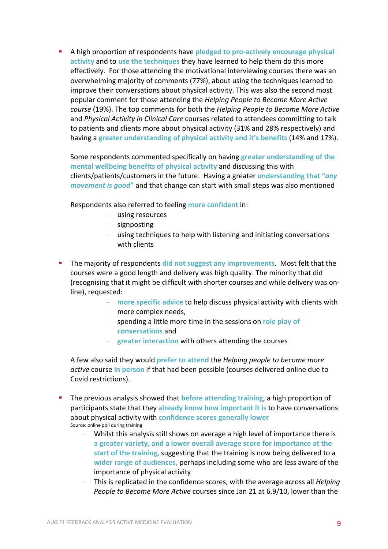! A high proportion of respondents have **pledged to pro-actively encourage physical activity** and to **use the techniques** they have learned to help them do this more effectively. For those attending the motivational interviewing courses there was an overwhelming majority of comments (77%), about using the techniques learned to improve their conversations about physical activity. This was also the second most popular comment for those attending the *Helping People to Become More Active course* (19%). The top comments for both the *Helping People to Become More Active* and *Physical Activity in Clinical Care* courses related to attendees committing to talk to patients and clients more about physical activity (31% and 28% respectively) and having a **greater understanding of physical activity and it's benefits** (14% and 17%).

Some respondents commented specifically on having **greater understanding of the mental wellbeing benefits of physical activity** and discussing this with clients/patients/customers in the future. Having a greater **understanding that "***any movement is good***"** and that change can start with small steps was also mentioned

Respondents also referred to feeling **more confident** in:

- using resources
- signposting
- using techniques to help with listening and initiating conversations with clients
- ! The majority of respondents **did not suggest any improvements**. Most felt that the courses were a good length and delivery was high quality. The minority that did (recognising that it might be difficult with shorter courses and while delivery was online), requested:
	- more specific advice to help discuss physical activity with clients with more complex needs,
	- spending a little more time in the sessions on **role play of conversations** and
	- **greater interaction** with others attending the courses

A few also said they would **prefer to attend** the *Helping people to become more active* course **in person** if that had been possible (courses delivered online due to Covid restrictions).

- ! The previous analysis showed that **before attending training**, a high proportion of participants state that they **already know how important it is** to have conversations about physical activity with **confidence scores generally lower** Source: online poll during training
	- Whilst this analysis still shows on average a high level of importance there is **a greater variety, and a lower overall average score for importance at the start of the training,** suggesting that the training is now being delivered to a **wider range of audiences,** perhaps including some who are less aware of the importance of physical activity
	- This is replicated in the confidence scores, with the average across all *Helping People to Become More Active* courses since Jan 21 at 6.9/10, lower than the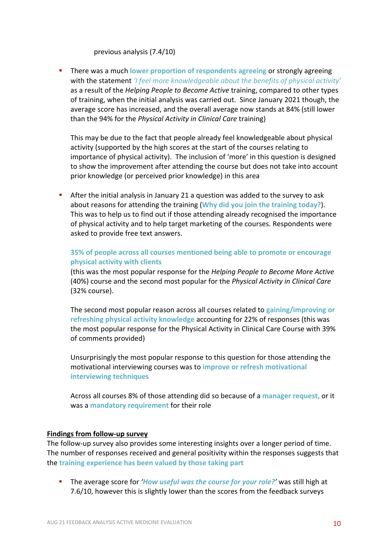#### previous analysis (7.4/10)

! There was a much **lower proportion of respondents agreeing** or strongly agreeing with the statement *'I feel more knowledgeable about the benefits of physical activity'* as a result of the *Helping People to Become Active* training, compared to other types of training, when the initial analysis was carried out. Since January 2021 though, the average score has increased, and the overall average now stands at 84% (still lower than the 94% for the *Physical Activity in Clinical Care* training)

This may be due to the fact that people already feel knowledgeable about physical activity (supported by the high scores at the start of the courses relating to importance of physical activity). The inclusion of 'more' in this question is designed to show the improvement after attending the course but does not take into account prior knowledge (or perceived prior knowledge) in this area

! After the initial analysis in January 21 a question was added to the survey to ask about reasons for attending the training (**Why did you join the training today?**). This was to help us to find out if those attending already recognised the importance of physical activity and to help target marketing of the courses. Respondents were asked to provide free text answers.

#### **35% of people across all courses mentioned being able to promote or encourage physical activity with clients**

(this was the most popular response for the *Helping People to Become More Active* (40%) course and the second most popular for the *Physical Activity in Clinical Care* (32% course).

The second most popular reason across all courses related to **gaining/improving or refreshing physical activity knowledge** accounting for 22% of responses (this was the most popular response for the Physical Activity in Clinical Care Course with 39% of comments provided)

Unsurprisingly the most popular response to this question for those attending the motivational interviewing courses was to **improve or refresh motivational interviewing techniques**

Across all courses 8% of those attending did so because of a **manager request,** or it was a **mandatory requirement** for their role

#### **Findings from follow-up survey**

The follow-up survey also provides some interesting insights over a longer period of time. The number of responses received and general positivity within the responses suggests that the **training experience has been valued by those taking part**

! The average score for *'How useful was the course for your role?'* was still high at 7.6/10, however this is slightly lower than the scores from the feedback surveys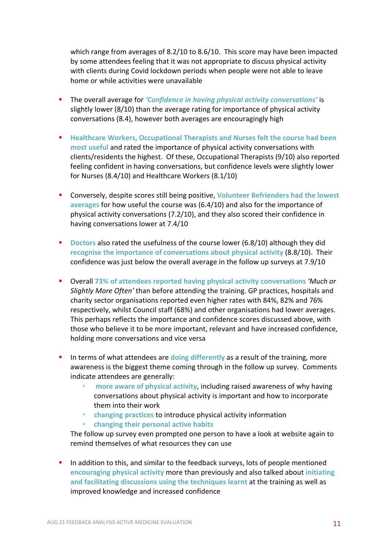which range from averages of 8.2/10 to 8.6/10. This score may have been impacted by some attendees feeling that it was not appropriate to discuss physical activity with clients during Covid lockdown periods when people were not able to leave home or while activities were unavailable

- ! The overall average for *'Confidence in having physical activity conversations'* is slightly lower (8/10) than the average rating for importance of physical activity conversations (8.4), however both averages are encouragingly high
- ! **Healthcare Workers, Occupational Therapists and Nurses felt the course had been most useful** and rated the importance of physical activity conversations with clients/residents the highest. Of these, Occupational Therapists (9/10) also reported feeling confident in having conversations, but confidence levels were slightly lower for Nurses (8.4/10) and Healthcare Workers (8.1/10)
- ! Conversely, despite scores still being positive, **Volunteer Befrienders had the lowest averages** for how useful the course was (6.4/10) and also for the importance of physical activity conversations (7.2/10), and they also scored their confidence in having conversations lower at 7.4/10
- ! **Doctors** also rated the usefulness of the course lower (6.8/10) although they did **recognise the importance of conversations about physical activity** (8.8/10). Their confidence was just below the overall average in the follow up surveys at 7.9/10
- ! Overall **73% of attendees reported having physical activity conversations** *'Much or Slightly More Often'* than before attending the training. GP practices, hospitals and charity sector organisations reported even higher rates with 84%, 82% and 76% respectively, whilst Council staff (68%) and other organisations had lower averages. This perhaps reflects the importance and confidence scores discussed above, with those who believe it to be more important, relevant and have increased confidence, holding more conversations and vice versa
- **I** In terms of what attendees are **doing differently** as a result of the training, more awareness is the biggest theme coming through in the follow up survey. Comments indicate attendees are generally:
	- ! **more aware of physical activity**, including raised awareness of why having conversations about physical activity is important and how to incorporate them into their work
	- ! **changing practices** to introduce physical activity information
	- ! **changing their personal active habits**

The follow up survey even prompted one person to have a look at website again to remind themselves of what resources they can use

! In addition to this, and similar to the feedback surveys, lots of people mentioned **encouraging physical activity** more than previously and also talked about **initiating and facilitating discussions using the techniques learnt** at the training as well as improved knowledge and increased confidence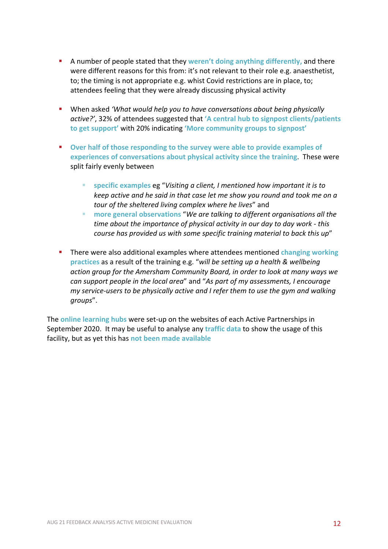- ! A number of people stated that they **weren't doing anything differently,** and there were different reasons for this from: it's not relevant to their role e.g. anaesthetist, to; the timing is not appropriate e.g. whist Covid restrictions are in place, to; attendees feeling that they were already discussing physical activity
- ! When asked *'What would help you to have conversations about being physically active?'*, 32% of attendees suggested that **'A central hub to signpost clients/patients to get support'** with 20% indicating **'More community groups to signpost'**
- ! **Over half of those responding to the survey were able to provide examples of experiences of conversations about physical activity since the training**. These were split fairly evenly between
	- ! **specific examples** eg "*Visiting a client, I mentioned how important it is to keep active and he said in that case let me show you round and took me on a tour of the sheltered living complex where he lives*" and
	- ! **more general observations** "*We are talking to different organisations all the time about the importance of physical activity in our day to day work - this course has provided us with some specific training material to back this up*"
- ! There were also additional examples where attendees mentioned **changing working practices** as a result of the training e.g. "*will be setting up a health & wellbeing action group for the Amersham Community Board, in order to look at many ways we can support people in the local area*" and "*As part of my assessments, I encourage my service-users to be physically active and I refer them to use the gym and walking groups*".

The **online learning hubs** were set-up on the websites of each Active Partnerships in September 2020. It may be useful to analyse any **traffic data** to show the usage of this facility, but as yet this has **not been made available**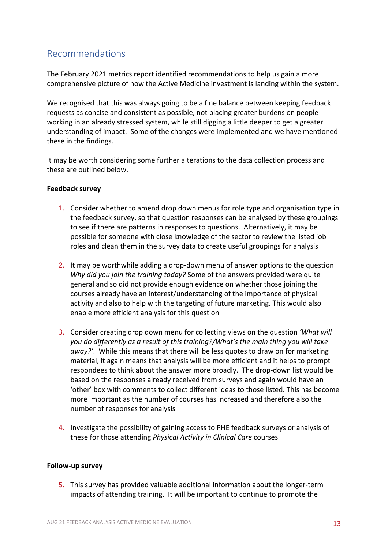## Recommendations

The February 2021 metrics report identified recommendations to help us gain a more comprehensive picture of how the Active Medicine investment is landing within the system.

We recognised that this was always going to be a fine balance between keeping feedback requests as concise and consistent as possible, not placing greater burdens on people working in an already stressed system, while still digging a little deeper to get a greater understanding of impact. Some of the changes were implemented and we have mentioned these in the findings.

It may be worth considering some further alterations to the data collection process and these are outlined below.

#### **Feedback survey**

- 1. Consider whether to amend drop down menus for role type and organisation type in the feedback survey, so that question responses can be analysed by these groupings to see if there are patterns in responses to questions. Alternatively, it may be possible for someone with close knowledge of the sector to review the listed job roles and clean them in the survey data to create useful groupings for analysis
- 2. It may be worthwhile adding a drop-down menu of answer options to the question *Why did you join the training today?* Some of the answers provided were quite general and so did not provide enough evidence on whether those joining the courses already have an interest/understanding of the importance of physical activity and also to help with the targeting of future marketing. This would also enable more efficient analysis for this question
- 3. Consider creating drop down menu for collecting views on the question *'What will you do differently as a result of this training?/What's the main thing you will take away?'*. While this means that there will be less quotes to draw on for marketing material, it again means that analysis will be more efficient and it helps to prompt respondees to think about the answer more broadly. The drop-down list would be based on the responses already received from surveys and again would have an 'other' box with comments to collect different ideas to those listed. This has become more important as the number of courses has increased and therefore also the number of responses for analysis
- 4. Investigate the possibility of gaining access to PHE feedback surveys or analysis of these for those attending *Physical Activity in Clinical Care* courses

#### **Follow-up survey**

5. This survey has provided valuable additional information about the longer-term impacts of attending training. It will be important to continue to promote the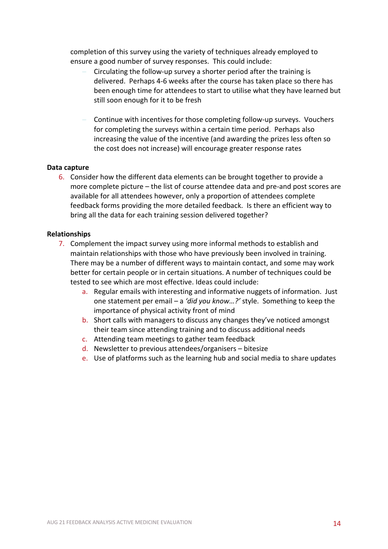completion of this survey using the variety of techniques already employed to ensure a good number of survey responses. This could include:

- Circulating the follow-up survey a shorter period after the training is delivered. Perhaps 4-6 weeks after the course has taken place so there has been enough time for attendees to start to utilise what they have learned but still soon enough for it to be fresh
- Continue with incentives for those completing follow-up surveys. Vouchers for completing the surveys within a certain time period. Perhaps also increasing the value of the incentive (and awarding the prizes less often so the cost does not increase) will encourage greater response rates

#### **Data capture**

6. Consider how the different data elements can be brought together to provide a more complete picture – the list of course attendee data and pre-and post scores are available for all attendees however, only a proportion of attendees complete feedback forms providing the more detailed feedback. Is there an efficient way to bring all the data for each training session delivered together?

#### **Relationships**

- 7. Complement the impact survey using more informal methods to establish and maintain relationships with those who have previously been involved in training. There may be a number of different ways to maintain contact, and some may work better for certain people or in certain situations. A number of techniques could be tested to see which are most effective. Ideas could include:
	- a. Regular emails with interesting and informative nuggets of information. Just one statement per email – a *'did you know…?'* style. Something to keep the importance of physical activity front of mind
	- b. Short calls with managers to discuss any changes they've noticed amongst their team since attending training and to discuss additional needs
	- c. Attending team meetings to gather team feedback
	- d. Newsletter to previous attendees/organisers bitesize
	- e. Use of platforms such as the learning hub and social media to share updates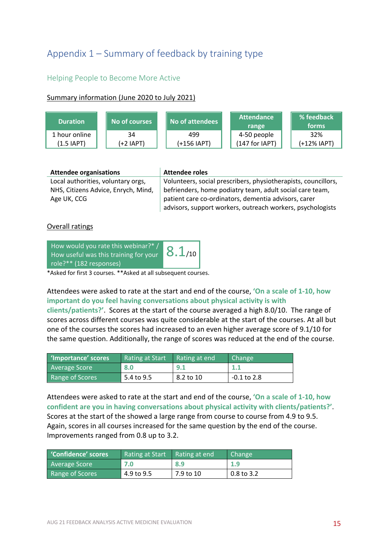## Appendix 1 – Summary of feedback by training type

#### Helping People to Become More Active

#### Summary information (June 2020 to July 2021)



| <b>Attendee organisations</b>       | <b>Attendee roles</b>                                          |
|-------------------------------------|----------------------------------------------------------------|
| Local authorities, voluntary orgs,  | Volunteers, social prescribers, physiotherapists, councillors, |
| NHS, Citizens Advice, Enrych, Mind, | befrienders, home podiatry team, adult social care team,       |
| Age UK, CCG                         | patient care co-ordinators, dementia advisors, carer           |
|                                     | advisors, support workers, outreach workers, psychologists     |

#### Overall ratings

| How would you rate this webinar?* /   |             |
|---------------------------------------|-------------|
| How useful was this training for your | $8.1_{/10}$ |
| role?** (182 responses)               |             |

\*Asked for first 3 courses. \*\*Asked at all subsequent courses.

Attendees were asked to rate at the start and end of the course, **'On a scale of 1-10, how important do you feel having conversations about physical activity is with clients/patients?'**. Scores at the start of the course averaged a high 8.0/10. The range of scores across different courses was quite considerable at the start of the courses. At all but

one of the courses the scores had increased to an even higher average score of 9.1/10 for the same question. Additionally, the range of scores was reduced at the end of the course.

| 'Importance' scores | Rating at Start | Rating at end | <b>Change</b> |
|---------------------|-----------------|---------------|---------------|
| Average Score       | 8.0             | 9.1           | 1.1           |
| Range of Scores     | 5.4 to 9.5      | 8.2 to 10     | -0.1 to 2.8   |

Attendees were asked to rate at the start and end of the course, **'On a scale of 1-10, how confident are you in having conversations about physical activity with clients/patients?'**. Scores at the start of the showed a large range from course to course from 4.9 to 9.5. Again, scores in all courses increased for the same question by the end of the course. Improvements ranged from 0.8 up to 3.2.

| Confidence' scores   | Rating at Start | Rating at end | Change     |
|----------------------|-----------------|---------------|------------|
| <b>Average Score</b> | 7.0             | 8.9           | 1.9        |
| Range of Scores      | 4.9 to 9.5      | 7.9 to 10     | 0.8 to 3.2 |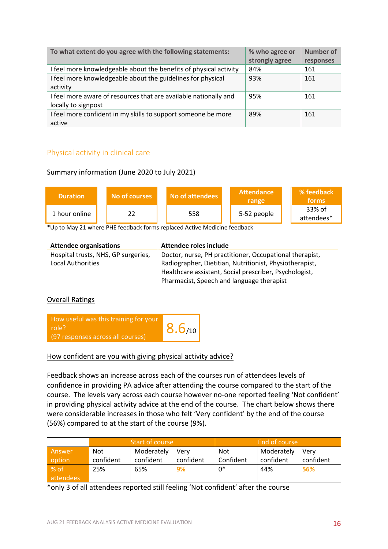| To what extent do you agree with the following statements:        | % who agree or | <b>Number of</b> |
|-------------------------------------------------------------------|----------------|------------------|
|                                                                   | strongly agree | responses        |
| I feel more knowledgeable about the benefits of physical activity | 84%            | 161              |
| I feel more knowledgeable about the guidelines for physical       | 93%            | 161              |
| activity                                                          |                |                  |
| I feel more aware of resources that are available nationally and  | 95%            | 161              |
| locally to signpost                                               |                |                  |
| I feel more confident in my skills to support someone be more     | 89%            | 161              |
| active                                                            |                |                  |

#### Physical activity in clinical care

#### Summary information (June 2020 to July 2021)

| <b>Duration</b> | No of courses | No of attendees | <b>Attendance</b><br>range | % feedback<br>forms  |
|-----------------|---------------|-----------------|----------------------------|----------------------|
| 1 hour online   |               | 558             | 5-52 people                | 33% of<br>attendees* |

\*Up to May 21 where PHE feedback forms replaced Active Medicine feedback

| <b>Attendee organisations</b>       | Attendee roles include                                  |
|-------------------------------------|---------------------------------------------------------|
| Hospital trusts, NHS, GP surgeries, | Doctor, nurse, PH practitioner, Occupational therapist, |
| Local Authorities                   | Radiographer, Dietitian, Nutritionist, Physiotherapist, |
|                                     | Healthcare assistant, Social prescriber, Psychologist,  |
|                                     | Pharmacist, Speech and language therapist               |

#### Overall Ratings



How confident are you with giving physical activity advice?

Feedback shows an increase across each of the courses run of attendees levels of confidence in providing PA advice after attending the course compared to the start of the course. The levels vary across each course however no-one reported feeling 'Not confident' in providing physical activity advice at the end of the course. The chart below shows there were considerable increases in those who felt 'Very confident' by the end of the course (56%) compared to at the start of the course (9%).

|           | Start of course |            |           | End of course |            |           |
|-----------|-----------------|------------|-----------|---------------|------------|-----------|
| Answer    | Not             | Moderately | Verv      | Not           | Moderately | Verv      |
| option    | confident       | confident  | confident | Confident     | confident  | confident |
| % of      | 25%             | 65%        | 9%        | 0*            | 44%        | 56%       |
| attendees |                 |            |           |               |            |           |

\*only 3 of all attendees reported still feeling 'Not confident' after the course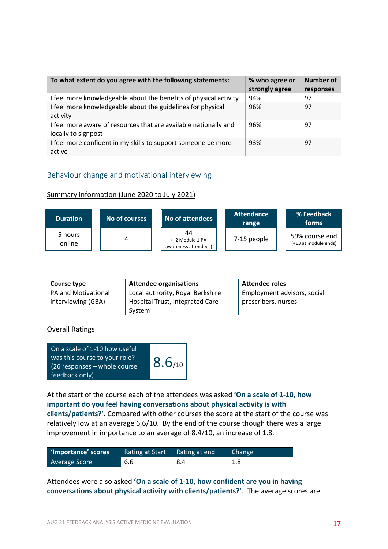| To what extent do you agree with the following statements:        | % who agree or<br>strongly agree | Number of<br>responses |
|-------------------------------------------------------------------|----------------------------------|------------------------|
| I feel more knowledgeable about the benefits of physical activity | 94%                              | 97                     |
| I feel more knowledgeable about the guidelines for physical       | 96%                              | 97                     |
| activity                                                          |                                  |                        |
| I feel more aware of resources that are available nationally and  | 96%                              | 97                     |
| locally to signpost                                               |                                  |                        |
| I feel more confident in my skills to support someone be more     | 93%                              | 97                     |
| active                                                            |                                  |                        |

#### Behaviour change and motivational interviewing

#### Summary information (June 2020 to July 2021)

| <b>Duration</b>   | No of courses | No of attendees                               | <b>Attendance</b><br>range | % Feedback<br>forms                    |
|-------------------|---------------|-----------------------------------------------|----------------------------|----------------------------------------|
| 5 hours<br>online | 4             | 44<br>(+2 Module 1 PA<br>awareness attendees) | 7-15 people                | 59% course end<br>(+13 at module ends) |

| Course type         | <b>Attendee organisations</b>    | <b>Attendee roles</b>       |
|---------------------|----------------------------------|-----------------------------|
| PA and Motivational | Local authority, Royal Berkshire | Employment advisors, social |
| interviewing (GBA)  | Hospital Trust, Integrated Care  | prescribers, nurses         |
|                     | System                           |                             |

#### Overall Ratings

| On a scale of 1-10 how useful<br>was this course to your role?<br>$(26$ responses – whole course<br>feedback only) | 8.6/10 |
|--------------------------------------------------------------------------------------------------------------------|--------|
|--------------------------------------------------------------------------------------------------------------------|--------|

At the start of the course each of the attendees was asked **'On a scale of 1-10, how important do you feel having conversations about physical activity is with clients/patients?'**. Compared with other courses the score at the start of the course was relatively low at an average 6.6/10. By the end of the course though there was a large improvement in importance to an average of 8.4/10, an increase of 1.8.

| 'Importance' scores | <b>Rating at Start</b> | Rating at end | Change |
|---------------------|------------------------|---------------|--------|
| Average Score       | 6.6                    | 8.4           | 1.8    |

Attendees were also asked **'On a scale of 1-10, how confident are you in having conversations about physical activity with clients/patients?'**. The average scores are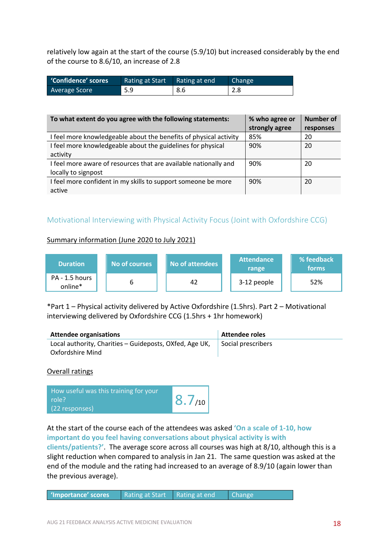relatively low again at the start of the course (5.9/10) but increased considerably by the end of the course to 8.6/10, an increase of 2.8

| 'Confidence' scores | Rating at Start Rating at end |     | Change            |
|---------------------|-------------------------------|-----|-------------------|
| Average Score       | 5.9                           | 8.6 | $\vert 2.8 \vert$ |

| To what extent do you agree with the following statements:        | % who agree or | Number of |
|-------------------------------------------------------------------|----------------|-----------|
|                                                                   | strongly agree | responses |
| I feel more knowledgeable about the benefits of physical activity | 85%            | 20        |
| I feel more knowledgeable about the guidelines for physical       | 90%            | 20        |
| activity                                                          |                |           |
| I feel more aware of resources that are available nationally and  | 90%            | 20        |
| locally to signpost                                               |                |           |
| I feel more confident in my skills to support someone be more     | 90%            | 20        |
| active                                                            |                |           |

#### Motivational Interviewing with Physical Activity Focus (Joint with Oxfordshire CCG)

#### Summary information (June 2020 to July 2021)



\*Part 1 – Physical activity delivered by Active Oxfordshire (1.5hrs). Part 2 – Motivational interviewing delivered by Oxfordshire CCG (1.5hrs + 1hr homework)

| <b>Attendee organisations</b>                                               | Attendee roles     |
|-----------------------------------------------------------------------------|--------------------|
| Local authority, Charities - Guideposts, OXfed, Age UK,<br>Oxfordshire Mind | Social prescribers |

Overall ratings

| How useful was this training for your<br>role?<br>(22 responses) | 8.7/10 |
|------------------------------------------------------------------|--------|
|------------------------------------------------------------------|--------|

#### At the start of the course each of the attendees was asked **'On a scale of 1-10, how important do you feel having conversations about physical activity is with**

**clients/patients?'**. The average score across all courses was high at 8/10, although this is a slight reduction when compared to analysis in Jan 21. The same question was asked at the end of the module and the rating had increased to an average of 8.9/10 (again lower than the previous average).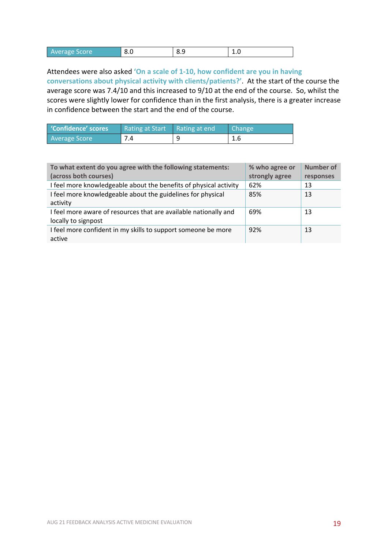| ັ<br>o.u<br>∸∙<br>ັ. |                 |  |  |
|----------------------|-----------------|--|--|
|                      | l Average Score |  |  |

Attendees were also asked **'On a scale of 1-10, how confident are you in having conversations about physical activity with clients/patients?'**. At the start of the course the average score was 7.4/10 and this increased to 9/10 at the end of the course. So, whilst the scores were slightly lower for confidence than in the first analysis, there is a greater increase in confidence between the start and the end of the course.

| Confidence' scores   | Rating at Start   Rating at end | Change <sup>1</sup> |
|----------------------|---------------------------------|---------------------|
| <b>Average Score</b> | 7.4                             | 1.6                 |

| To what extent do you agree with the following statements:        | % who agree or | <b>Number of</b> |
|-------------------------------------------------------------------|----------------|------------------|
| (across both courses)                                             | strongly agree | responses        |
| I feel more knowledgeable about the benefits of physical activity | 62%            | 13               |
| I feel more knowledgeable about the guidelines for physical       | 85%            | 13               |
| activity                                                          |                |                  |
| I feel more aware of resources that are available nationally and  | 69%            | 13               |
| locally to signpost                                               |                |                  |
| I feel more confident in my skills to support someone be more     | 92%            | 13               |
| active                                                            |                |                  |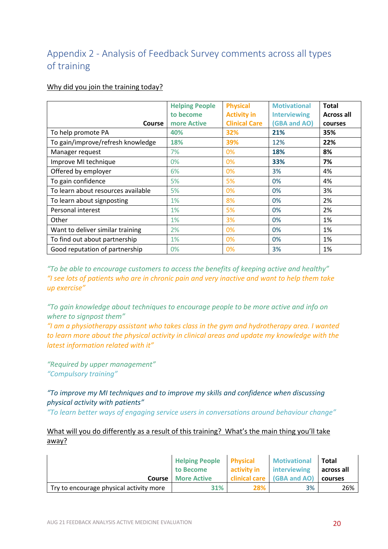## Appendix 2 - Analysis of Feedback Survey comments across all types of training

#### Why did you join the training today?

|                                    | <b>Helping People</b> | <b>Physical</b>      | <b>Motivational</b> | <b>Total</b>      |
|------------------------------------|-----------------------|----------------------|---------------------|-------------------|
|                                    | to become             | <b>Activity in</b>   | <b>Interviewing</b> | <b>Across all</b> |
| Course                             | more Active           | <b>Clinical Care</b> | <b>(GBA and AO)</b> | courses           |
| To help promote PA                 | 40%                   | 32%                  | 21%                 | 35%               |
| To gain/improve/refresh knowledge  | 18%                   | 39%                  | 12%                 | 22%               |
| Manager request                    | 7%                    | 0%                   | 18%                 | 8%                |
| Improve MI technique               | 0%                    | 0%                   | 33%                 | 7%                |
| Offered by employer                | 6%                    | 0%                   | 3%                  | 4%                |
| To gain confidence                 | 5%                    | 5%                   | 0%                  | 4%                |
| To learn about resources available | 5%                    | 0%                   | 0%                  | 3%                |
| To learn about signposting         | 1%                    | 8%                   | 0%                  | 2%                |
| Personal interest                  | 1%                    | 5%                   | 0%                  | 2%                |
| Other                              | 1%                    | 3%                   | 0%                  | 1%                |
| Want to deliver similar training   | 2%                    | 0%                   | 0%                  | 1%                |
| To find out about partnership      | 1%                    | 0%                   | 0%                  | 1%                |
| Good reputation of partnership     | 0%                    | 0%                   | 3%                  | 1%                |

*"To be able to encourage customers to access the benefits of keeping active and healthy" "I see lots of patients who are in chronic pain and very inactive and want to help them take up exercise"*

*"To gain knowledge about techniques to encourage people to be more active and info on where to signpost them"*

*"I am a physiotherapy assistant who takes class in the gym and hydrotherapy area. I wanted to learn more about the physical activity in clinical areas and update my knowledge with the latest information related with it"*

*"Required by upper management" "Compulsory training"*

## *"To improve my MI techniques and to improve my skills and confidence when discussing physical activity with patients"*

*"To learn better ways of engaging service users in conversations around behaviour change"*

#### What will you do differently as a result of this training? What's the main thing you'll take away?

|                                         | <b>Helping People Physical</b><br>to Become | activity in | <b>Motivational</b><br>interviewing | Total<br>across all |
|-----------------------------------------|---------------------------------------------|-------------|-------------------------------------|---------------------|
|                                         | <b>Course</b> More Active                   |             | clinical care (GBA and AO)          | courses             |
| Try to encourage physical activity more | 31%                                         | 28%         | 3%                                  | 26%                 |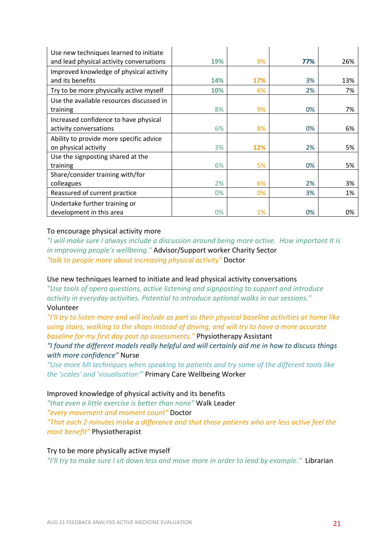| Use new techniques learned to initiate   |     |     |     |     |
|------------------------------------------|-----|-----|-----|-----|
| and lead physical activity conversations | 19% | 9%  | 77% | 26% |
| Improved knowledge of physical activity  |     |     |     |     |
| and its benefits                         | 14% | 17% | 3%  | 13% |
| Try to be more physically active myself  | 10% | 6%  | 2%  | 7%  |
| Use the available resources discussed in |     |     |     |     |
| training                                 | 8%  | 9%  | 0%  | 7%  |
| Increased confidence to have physical    |     |     |     |     |
| activity conversations                   | 6%  | 8%  | 0%  | 6%  |
| Ability to provide more specific advice  |     |     |     |     |
| on physical activity                     | 3%  | 12% | 2%  | 5%  |
| Use the signposting shared at the        |     |     |     |     |
| training                                 | 6%  | 5%  | 0%  | 5%  |
| Share/consider training with/for         |     |     |     |     |
| colleagues                               | 2%  | 6%  | 2%  | 3%  |
| Reassured of current practice            | 0%  | 0%  | 3%  | 1%  |
| Undertake further training or            |     |     |     |     |
| development in this area                 | 0%  | 1%  | 0%  | 0%  |

#### To encourage physical activity more

*"I will make sure I always include a discussion around being more active. How important it is in improving people's wellbeing."* Advisor/Support worker Charity Sector *"talk to people more about increasing physical activity"* Doctor

#### Use new techniques learned to initiate and lead physical activity conversations

*"Use tools of opera questions, active listening and signposting to support and introduce activity in everyday activities. Potential to introduce optional walks in our sessions."*  Volunteer

*"I'll try to listen more and will include as part as their physical baseline activities at home like using stairs, walking to the shops instead of driving, and will try to have a more accurate baseline for my first day post op assessments."* Physiotherapy Assistant

*"I found the different models really helpful and will certainly aid me in how to discuss things with more confidence"* Nurse

*"Use more MI techniques when speaking to patients and try some of the different tools like the 'scales' and 'visualisation'"* Primary Care Wellbeing Worker

#### Improved knowledge of physical activity and its benefits

*"that even a little exercise is better than none"* Walk Leader *"every movement and moment count"* Doctor *"That each 2 minutes make a difference and that those patients who are less active feel the most benefit"* Physiotherapist

#### Try to be more physically active myself

*"I'll try to make sure I sit down less and move more in order to lead by example."* Librarian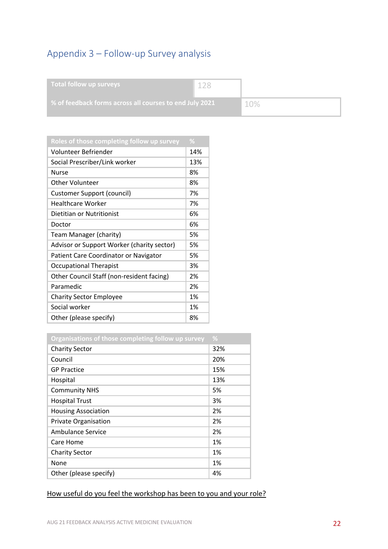## Appendix 3 – Follow-up Survey analysis

| Total follow up surveys                                 |     |
|---------------------------------------------------------|-----|
| % of feedback forms across all courses to end July 2021 | 10% |

| Roles of those completing follow up survey | %   |
|--------------------------------------------|-----|
| Volunteer Befriender                       | 14% |
| Social Prescriber/Link worker              | 13% |
| <b>Nurse</b>                               | 8%  |
| <b>Other Volunteer</b>                     | 8%  |
| <b>Customer Support (council)</b>          | 7%  |
| <b>Healthcare Worker</b>                   | 7%  |
| Dietitian or Nutritionist                  | 6%  |
| Doctor                                     | 6%  |
| Team Manager (charity)                     | 5%  |
| Advisor or Support Worker (charity sector) | 5%  |
| Patient Care Coordinator or Navigator      | 5%  |
| <b>Occupational Therapist</b>              | 3%  |
| Other Council Staff (non-resident facing)  | 2%  |
| Paramedic                                  | 2%  |
| <b>Charity Sector Employee</b>             | 1%  |
| Social worker                              | 1%  |
| Other (please specify)                     | 8%  |

| Organisations of those completing follow up survey | $\frac{9}{6}$ |
|----------------------------------------------------|---------------|
| <b>Charity Sector</b>                              | 32%           |
| Council                                            | 20%           |
| <b>GP Practice</b>                                 | 15%           |
| Hospital                                           | 13%           |
| <b>Community NHS</b>                               | 5%            |
| <b>Hospital Trust</b>                              | 3%            |
| <b>Housing Association</b>                         | 2%            |
| Private Organisation                               | 2%            |
| Ambulance Service                                  | 2%            |
| Care Home                                          | 1%            |
| <b>Charity Sector</b>                              | 1%            |
| None                                               | 1%            |
| Other (please specify)                             | 4%            |

#### How useful do you feel the workshop has been to you and your role?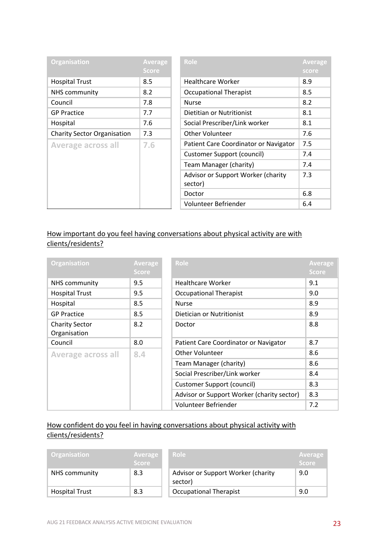| <b>Organisation</b>                | Average<br><b>Score</b> | Role                                          | <b>Average</b><br>score |
|------------------------------------|-------------------------|-----------------------------------------------|-------------------------|
|                                    |                         |                                               |                         |
| <b>Hospital Trust</b>              | 8.5                     | <b>Healthcare Worker</b>                      | 8.9                     |
| NHS community                      | 8.2                     | <b>Occupational Therapist</b>                 | 8.5                     |
| Council                            | 7.8                     | <b>Nurse</b>                                  | 8.2                     |
| <b>GP Practice</b>                 | 7.7                     | Dietitian or Nutritionist                     | 8.1                     |
| Hospital                           | 7.6                     | Social Prescriber/Link worker                 | 8.1                     |
| <b>Charity Sector Organisation</b> | 7.3                     | Other Volunteer                               | 7.6                     |
| <b>Average across all</b>          | 7.6                     | Patient Care Coordinator or Navigator         | 7.5                     |
|                                    |                         | Customer Support (council)                    | 7.4                     |
|                                    |                         | Team Manager (charity)                        | 7.4                     |
|                                    |                         | Advisor or Support Worker (charity<br>sector) | 7.3                     |
|                                    |                         | Doctor                                        | 6.8                     |
|                                    |                         | Volunteer Befriender                          | 6.4                     |

#### How important do you feel having conversations about physical activity are with clients/residents?

| <b>Organisation</b>       | <b>Average</b> | Role                                       | <b>Average</b> |
|---------------------------|----------------|--------------------------------------------|----------------|
|                           | <b>Score</b>   |                                            | <b>Score</b>   |
| NHS community             | 9.5            | Healthcare Worker                          | 9.1            |
| <b>Hospital Trust</b>     | 9.5            | <b>Occupational Therapist</b>              | 9.0            |
| Hospital                  | 8.5            | <b>Nurse</b>                               | 8.9            |
| <b>GP Practice</b>        | 8.5            | Dietician or Nutritionist                  | 8.9            |
| <b>Charity Sector</b>     | 8.2            | Doctor                                     | 8.8            |
| Organisation              |                |                                            |                |
| Council                   | 8.0            | Patient Care Coordinator or Navigator      | 8.7            |
| <b>Average across all</b> | 8.4            | Other Volunteer                            | 8.6            |
|                           |                | Team Manager (charity)                     | 8.6            |
|                           |                | Social Prescriber/Link worker              | 8.4            |
|                           |                | <b>Customer Support (council)</b>          | 8.3            |
|                           |                | Advisor or Support Worker (charity sector) | 8.3            |
|                           |                | Volunteer Befriender                       | 7.2            |

### How confident do you feel in having conversations about physical activity with clients/residents?

| <b>Organisation</b>   | Average<br><b>Score</b> | Role                                          | <b>Average</b><br><b>Score</b> |
|-----------------------|-------------------------|-----------------------------------------------|--------------------------------|
| NHS community         | 8.3                     | Advisor or Support Worker (charity<br>sector) | 9.0                            |
| <b>Hospital Trust</b> | 8.3                     | <b>Occupational Therapist</b>                 | 9.0                            |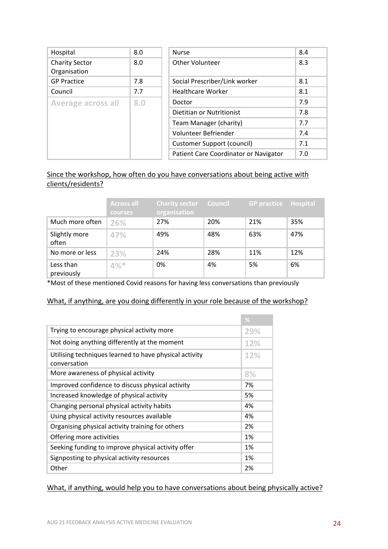| Hospital                              | 8.0 | <b>Nurse</b>                          |
|---------------------------------------|-----|---------------------------------------|
| <b>Charity Sector</b><br>Organisation | 8.0 | Other Volunteer                       |
| <b>GP Practice</b>                    | 7.8 | Social Prescriber/Link worker         |
| Council                               | 7.7 | <b>Healthcare Worker</b>              |
| <b>Average across all</b>             | 8.0 | Doctor                                |
|                                       |     | Dietitian or Nutritionist             |
|                                       |     | Team Manager (charity)                |
|                                       |     | Volunteer Befriender                  |
|                                       |     | Customer Support (council)            |
|                                       |     | Patient Care Coordinator or Navigator |

#### Since the workshop, how often do you have conversations about being active with clients/residents?

|                         | <b>Across all</b><br><b>courses</b> | <b>Charity sector Council</b><br>organisation |     | <b>GP practice</b> | Hospital |
|-------------------------|-------------------------------------|-----------------------------------------------|-----|--------------------|----------|
| Much more often         | 26%                                 | 27%                                           | 20% | 21%                | 35%      |
| Slightly more<br>often  | 47%                                 | 49%                                           | 48% | 63%                | 47%      |
| No more or less         | 23%                                 | 24%                                           | 28% | 11%                | 12%      |
| Less than<br>previously | 4%                                  | 0%                                            | 4%  | 5%                 | 6%       |

\*Most of these mentioned Covid reasons for having less conversations than previously

#### What, if anything, are you doing differently in your role because of the workshop?

|                                                                        | %          |
|------------------------------------------------------------------------|------------|
| Trying to encourage physical activity more                             |            |
| Not doing anything differently at the moment                           | 12%        |
| Utilising techniques learned to have physical activity<br>conversation | <b>12%</b> |
| More awareness of physical activity                                    | 8%         |
| Improved confidence to discuss physical activity                       | 7%         |
| Increased knowledge of physical activity                               | 5%         |
| Changing personal physical activity habits                             | 4%         |
| Using physical activity resources available                            | 4%         |
| Organising physical activity training for others                       | 2%         |
| Offering more activities                                               | 1%         |
| Seeking funding to improve physical activity offer                     |            |
| Signposting to physical activity resources                             |            |
| Other                                                                  | 2%         |

#### What, if anything, would help you to have conversations about being physically active?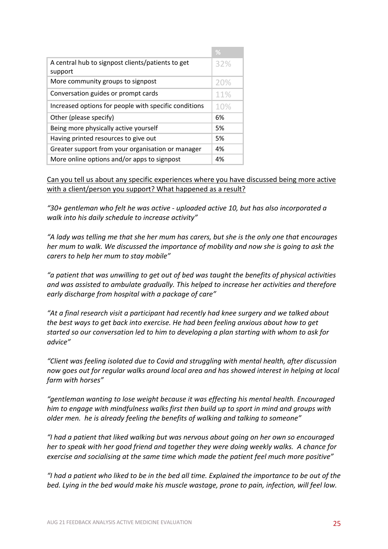|                                                              | $\frac{9}{6}$ |
|--------------------------------------------------------------|---------------|
| A central hub to signpost clients/patients to get<br>support | 32%           |
| More community groups to signpost                            | 20%           |
| Conversation guides or prompt cards                          | 11%           |
| Increased options for people with specific conditions        | 10%           |
| Other (please specify)                                       | 6%            |
| Being more physically active yourself                        | 5%            |
| Having printed resources to give out                         | 5%            |
| Greater support from your organisation or manager            | 4%            |
| More online options and/or apps to signpost                  | 4%            |

Can you tell us about any specific experiences where you have discussed being more active with a client/person you support? What happened as a result?

*"30+ gentleman who felt he was active - uploaded active 10, but has also incorporated a walk into his daily schedule to increase activity"*

*"A lady was telling me that she her mum has carers, but she is the only one that encourages her mum to walk. We discussed the importance of mobility and now she is going to ask the carers to help her mum to stay mobile"*

*"a patient that was unwilling to get out of bed was taught the benefits of physical activities and was assisted to ambulate gradually. This helped to increase her activities and therefore early discharge from hospital with a package of care"*

*"At a final research visit a participant had recently had knee surgery and we talked about the best ways to get back into exercise. He had been feeling anxious about how to get started so our conversation led to him to developing a plan starting with whom to ask for advice"*

*"Client was feeling isolated due to Covid and struggling with mental health, after discussion now goes out for regular walks around local area and has showed interest in helping at local farm with horses"*

*"gentleman wanting to lose weight because it was effecting his mental health. Encouraged him to engage with mindfulness walks first then build up to sport in mind and groups with older men. he is already feeling the benefits of walking and talking to someone"*

*"I had a patient that liked walking but was nervous about going on her own so encouraged her to speak with her good friend and together they were doing weekly walks. A chance for exercise and socialising at the same time which made the patient feel much more positive"*

*"I had a patient who liked to be in the bed all time. Explained the importance to be out of the bed. Lying in the bed would make his muscle wastage, prone to pain, infection, will feel low.*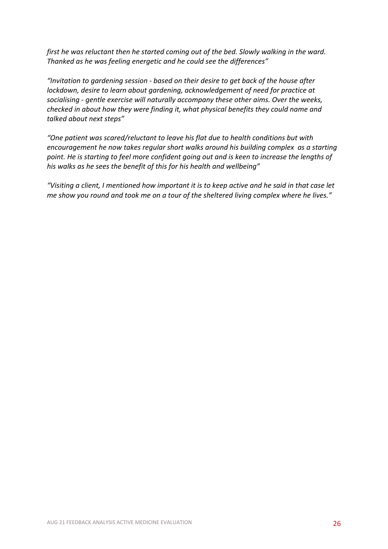*first he was reluctant then he started coming out of the bed. Slowly walking in the ward. Thanked as he was feeling energetic and he could see the differences"*

*"Invitation to gardening session - based on their desire to get back of the house after lockdown, desire to learn about gardening, acknowledgement of need for practice at socialising - gentle exercise will naturally accompany these other aims. Over the weeks, checked in about how they were finding it, what physical benefits they could name and talked about next steps"*

*"One patient was scared/reluctant to leave his flat due to health conditions but with encouragement he now takes regular short walks around his building complex as a starting point. He is starting to feel more confident going out and is keen to increase the lengths of his walks as he sees the benefit of this for his health and wellbeing"*

*"Visiting a client, I mentioned how important it is to keep active and he said in that case let me show you round and took me on a tour of the sheltered living complex where he lives."*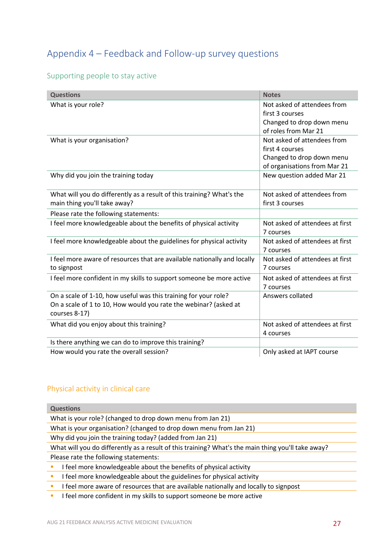## Appendix 4 – Feedback and Follow-up survey questions

#### Supporting people to stay active

| <b>Questions</b>                                                                                                                                     | <b>Notes</b>                                                                                                |
|------------------------------------------------------------------------------------------------------------------------------------------------------|-------------------------------------------------------------------------------------------------------------|
| What is your role?                                                                                                                                   | Not asked of attendees from<br>first 3 courses<br>Changed to drop down menu<br>of roles from Mar 21         |
| What is your organisation?                                                                                                                           | Not asked of attendees from<br>first 4 courses<br>Changed to drop down menu<br>of organisations from Mar 21 |
| Why did you join the training today                                                                                                                  | New question added Mar 21                                                                                   |
| What will you do differently as a result of this training? What's the<br>main thing you'll take away?                                                | Not asked of attendees from<br>first 3 courses                                                              |
| Please rate the following statements:                                                                                                                |                                                                                                             |
| I feel more knowledgeable about the benefits of physical activity                                                                                    | Not asked of attendees at first<br>7 courses                                                                |
| I feel more knowledgeable about the guidelines for physical activity                                                                                 | Not asked of attendees at first<br>7 courses                                                                |
| I feel more aware of resources that are available nationally and locally<br>to signpost                                                              | Not asked of attendees at first<br>7 courses                                                                |
| I feel more confident in my skills to support someone be more active                                                                                 | Not asked of attendees at first<br>7 courses                                                                |
| On a scale of 1-10, how useful was this training for your role?<br>On a scale of 1 to 10, How would you rate the webinar? (asked at<br>courses 8-17) | Answers collated                                                                                            |
| What did you enjoy about this training?                                                                                                              | Not asked of attendees at first<br>4 courses                                                                |
| Is there anything we can do to improve this training?                                                                                                |                                                                                                             |
| How would you rate the overall session?                                                                                                              | Only asked at IAPT course                                                                                   |

#### Physical activity in clinical care

| <b>Questions</b>                                                                                   |  |  |
|----------------------------------------------------------------------------------------------------|--|--|
| What is your role? (changed to drop down menu from Jan 21)                                         |  |  |
| What is your organisation? (changed to drop down menu from Jan 21)                                 |  |  |
| Why did you join the training today? (added from Jan 21)                                           |  |  |
| What will you do differently as a result of this training? What's the main thing you'll take away? |  |  |
| Please rate the following statements:                                                              |  |  |
| feel more knowledgeable about the benefits of physical activity                                    |  |  |
| I feel more knowledgeable about the guidelines for physical activity                               |  |  |

**I** I feel more aware of resources that are available nationally and locally to signpost

**I** I feel more confident in my skills to support someone be more active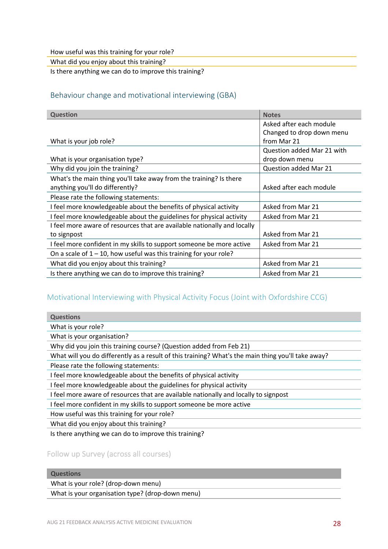How useful was this training for your role?

What did you enjoy about this training?

Is there anything we can do to improve this training?

#### Behaviour change and motivational interviewing (GBA)

| <b>Question</b>                                                          | <b>Notes</b>                 |
|--------------------------------------------------------------------------|------------------------------|
|                                                                          | Asked after each module      |
|                                                                          | Changed to drop down menu    |
| What is your job role?                                                   | from Mar 21                  |
|                                                                          | Question added Mar 21 with   |
| What is your organisation type?                                          | drop down menu               |
| Why did you join the training?                                           | <b>Question added Mar 21</b> |
| What's the main thing you'll take away from the training? Is there       |                              |
| anything you'll do differently?                                          | Asked after each module      |
| Please rate the following statements:                                    |                              |
| I feel more knowledgeable about the benefits of physical activity        | Asked from Mar 21            |
| I feel more knowledgeable about the guidelines for physical activity     | Asked from Mar 21            |
| I feel more aware of resources that are available nationally and locally |                              |
| to signpost                                                              | Asked from Mar 21            |
| I feel more confident in my skills to support someone be more active     | Asked from Mar 21            |
| On a scale of $1 - 10$ , how useful was this training for your role?     |                              |
| What did you enjoy about this training?                                  | Asked from Mar 21            |
| Is there anything we can do to improve this training?                    | Asked from Mar 21            |

#### Motivational Interviewing with Physical Activity Focus (Joint with Oxfordshire CCG)

**Questions**

What is your role?

What is your organisation?

Why did you join this training course? (Question added from Feb 21)

What will you do differently as a result of this training? What's the main thing you'll take away?

Please rate the following statements:

I feel more knowledgeable about the benefits of physical activity

I feel more knowledgeable about the guidelines for physical activity

I feel more aware of resources that are available nationally and locally to signpost

I feel more confident in my skills to support someone be more active

How useful was this training for your role?

What did you enjoy about this training?

Is there anything we can do to improve this training?

Follow up Survey (across all courses)

#### **Questions**

What is your role? (drop-down menu)

What is your organisation type? (drop-down menu)